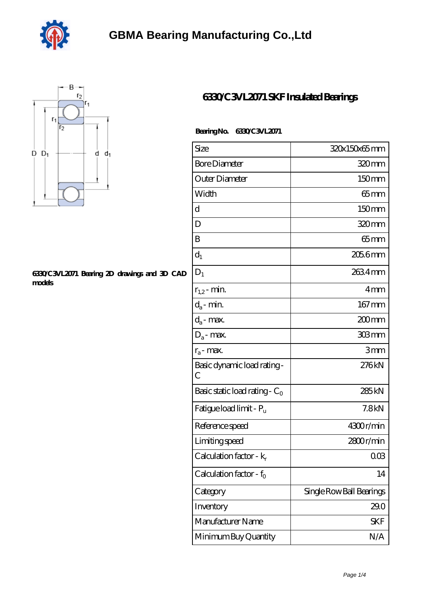



## **[6330/C3VL2071 Bearing 2D drawings and 3D CAD](https://dogwooddreams.com/pic-634221.html) [models](https://dogwooddreams.com/pic-634221.html)**

## **[6330/C3VL2071 SKF Insulated Bearings](https://dogwooddreams.com/insulated-bearings/6330-c3vl2071.html)**

 **Bearing No. 6330/C3VL2071**

| Size                                | 320x150x65mm             |
|-------------------------------------|--------------------------|
| <b>Bore Diameter</b>                | 320mm                    |
| Outer Diameter                      | 150mm                    |
| Width                               | 65mm                     |
| d                                   | 150mm                    |
| D                                   | 320mm                    |
| B                                   | $65 \text{mm}$           |
| $d_1$                               | $2056$ mm                |
| $D_1$                               | 2634mm                   |
| $r_{1,2}$ - min.                    | 4mm                      |
| $d_a$ - min.                        | $167 \text{mm}$          |
| $d_a$ - max.                        | 200 mm                   |
| $D_a$ - max.                        | 303mm                    |
| $r_a$ - max.                        | 3mm                      |
| Basic dynamic load rating-<br>С     | 276kN                    |
| Basic static load rating - $C_0$    | 285kN                    |
| Fatigue load limit - P <sub>u</sub> | 7.8kN                    |
| Reference speed                     | 4300r/min                |
| Limiting speed                      | 2800r/min                |
| Calculation factor - $k_r$          | $00\Omega$               |
| Calculation factor - $f_0$          | 14                       |
| Category                            | Single Row Ball Bearings |
| Inventory                           | 29.0                     |
| Manufacturer Name                   | SKF                      |
| Minimum Buy Quantity                | N/A                      |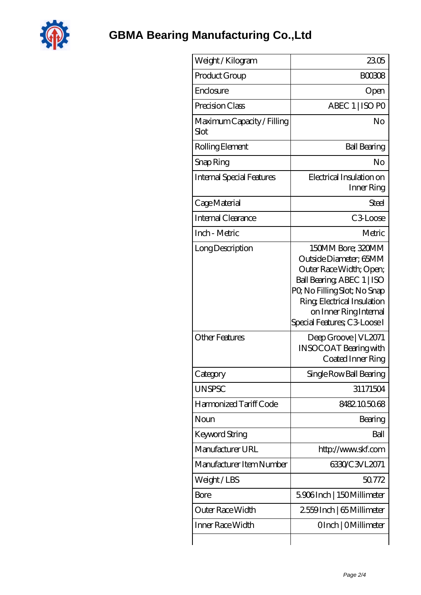

| Weight/Kilogram                    | 2305                                                                                                                                                                                                                         |
|------------------------------------|------------------------------------------------------------------------------------------------------------------------------------------------------------------------------------------------------------------------------|
| Product Group                      | BOO3O8                                                                                                                                                                                                                       |
| Enclosure                          | Open                                                                                                                                                                                                                         |
| Precision Class                    | ABEC 1   ISO PO                                                                                                                                                                                                              |
| Maximum Capacity / Filling<br>Slot | No                                                                                                                                                                                                                           |
| Rolling Element                    | <b>Ball Bearing</b>                                                                                                                                                                                                          |
| Snap Ring                          | No                                                                                                                                                                                                                           |
| Internal Special Features          | Electrical Insulation on<br>Inner Ring                                                                                                                                                                                       |
| Cage Material                      | Steel                                                                                                                                                                                                                        |
| Internal Clearance                 | C <sub>3</sub> Loose                                                                                                                                                                                                         |
| Inch - Metric                      | Metric                                                                                                                                                                                                                       |
| Long Description                   | 150MM Bore; 320MM<br>Outside Diameter: 65MM<br>Outer Race Width; Open;<br>Ball Bearing, ABEC 1   ISO<br>PQ No Filling Slot; No Snap<br>Ring, Electrical Insulation<br>on Inner Ring Internal<br>Special Features; C3 Loose I |
| <b>Other Features</b>              | Deep Groove   VL2071<br><b>INSOCOAT Bearing with</b><br>Coated Inner Ring                                                                                                                                                    |
| Category                           | Single Row Ball Bearing                                                                                                                                                                                                      |
| <b>UNSPSC</b>                      | 31171504                                                                                                                                                                                                                     |
| Harmonized Tariff Code             | 8482105068                                                                                                                                                                                                                   |
| Noun                               | Bearing                                                                                                                                                                                                                      |
| Keyword String                     | Ball                                                                                                                                                                                                                         |
| Manufacturer URL                   | http://www.skf.com                                                                                                                                                                                                           |
| Manufacturer Item Number           | 6330/C3VL2071                                                                                                                                                                                                                |
| Weight/LBS                         | 50.772                                                                                                                                                                                                                       |
| Bore                               | 5906Inch   150Millimeter                                                                                                                                                                                                     |
| Outer Race Width                   | 2559Inch   65 Millimeter                                                                                                                                                                                                     |
| Inner Race Width                   | OInch   OMillimeter                                                                                                                                                                                                          |
|                                    |                                                                                                                                                                                                                              |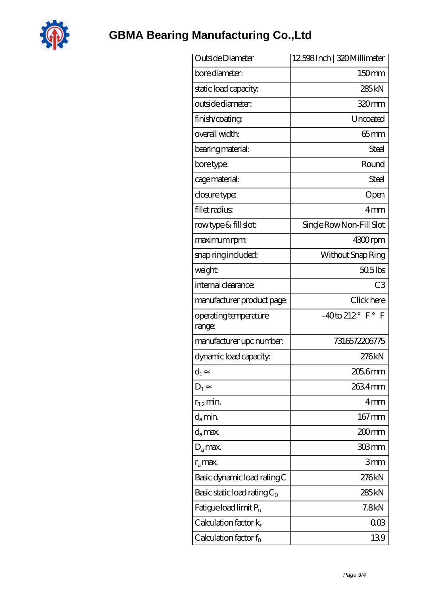

## **[GBMA Bearing Manufacturing Co.,Ltd](https://dogwooddreams.com)**

| Outside Diameter                  | 12598Inch   320 Millimeter         |
|-----------------------------------|------------------------------------|
| bore diameter:                    | 150mm                              |
| static load capacity.             | 285 <sub>kN</sub>                  |
| outside diameter:                 | 320mm                              |
| finish/coating                    | Uncoated                           |
| overall width:                    | $65$ mm                            |
| bearing material:                 | Steel                              |
| bore type:                        | Round                              |
| cage material:                    | Steel                              |
| closure type:                     | Open                               |
| fillet radius                     | 4mm                                |
| rowtype & fill slot:              | Single Row Non-Fill Slot           |
| maximum rpm:                      | 4300rpm                            |
| snap ring included:               | Without Snap Ring                  |
| weight:                           | $505$ lbs                          |
| internal clearance:               | C <sub>3</sub>                     |
| manufacturer product page:        | Click here                         |
| operating temperature<br>range:   | $-40$ to 212° F°<br>$\overline{F}$ |
| manufacturer upc number:          | 7316572206775                      |
| dynamic load capacity:            | 276kN                              |
| $d_1$                             | 2056 mm                            |
| $D_1$                             | 2634mm                             |
| $r_{1,2}$ min.                    | 4mm                                |
| $d_a$ min.                        | $167 \,\mathrm{mm}$                |
| $d_a$ max.                        | 200mm                              |
| $D_a$ max.                        | 303mm                              |
| $r_a$ max.                        | 3mm                                |
| Basic dynamic load rating C       | 276kN                              |
| Basic static load rating $C_0$    | 285 <sub>kN</sub>                  |
| Fatigue load limit P <sub>u</sub> | 7.8 <sub>kN</sub>                  |
| Calculation factor $k_r$          | 003                                |
| Calculation factor $f_0$          | 139                                |